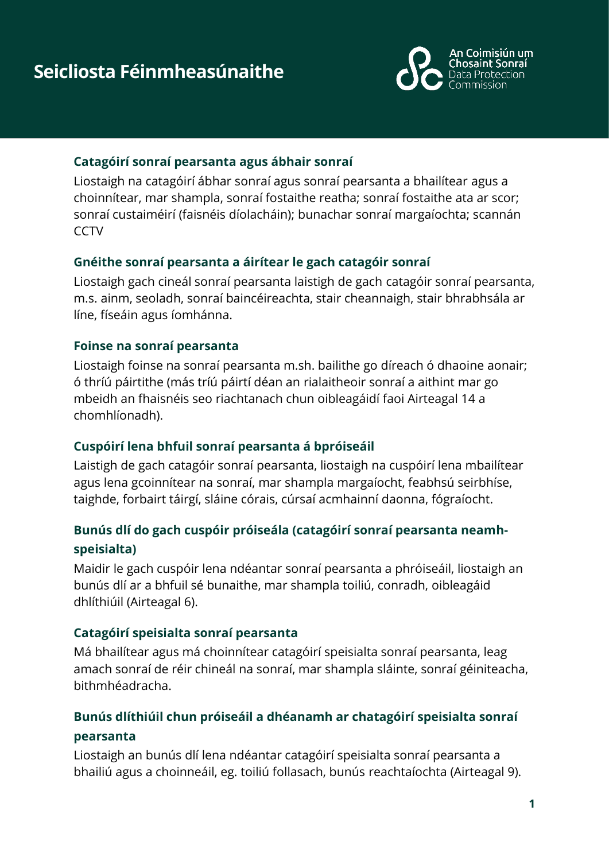

#### **Catagóirí sonraí pearsanta agus ábhair sonraí**

Liostaigh na catagóirí ábhar sonraí agus sonraí pearsanta a bhailítear agus a choinnítear, mar shampla, sonraí fostaithe reatha; sonraí fostaithe ata ar scor; sonraí custaiméirí (faisnéis díolacháin); bunachar sonraí margaíochta; scannán **CCTV** 

#### **Gnéithe sonraí pearsanta a áirítear le gach catagóir sonraí**

Liostaigh gach cineál sonraí pearsanta laistigh de gach catagóir sonraí pearsanta, m.s. ainm, seoladh, sonraí baincéireachta, stair cheannaigh, stair bhrabhsála ar líne, físeáin agus íomhánna.

#### **Foinse na sonraí pearsanta**

Liostaigh foinse na sonraí pearsanta m.sh. bailithe go díreach ó dhaoine aonair; ó thríú páirtithe (más tríú páirtí déan an rialaitheoir sonraí a aithint mar go mbeidh an fhaisnéis seo riachtanach chun oibleagáidí faoi Airteagal 14 a chomhlíonadh).

#### **Cuspóirí lena bhfuil sonraí pearsanta á bpróiseáil**

Laistigh de gach catagóir sonraí pearsanta, liostaigh na cuspóirí lena mbailítear agus lena gcoinnítear na sonraí, mar shampla margaíocht, feabhsú seirbhíse, taighde, forbairt táirgí, sláine córais, cúrsaí acmhainní daonna, fógraíocht.

#### **Bunús dlí do gach cuspóir próiseála (catagóirí sonraí pearsanta neamhspeisialta)**

Maidir le gach cuspóir lena ndéantar sonraí pearsanta a phróiseáil, liostaigh an bunús dlí ar a bhfuil sé bunaithe, mar shampla toiliú, conradh, oibleagáid dhlíthiúil (Airteagal 6).

#### **Catagóirí speisialta sonraí pearsanta**

Má bhailítear agus má choinnítear catagóirí speisialta sonraí pearsanta, leag amach sonraí de réir chineál na sonraí, mar shampla sláinte, sonraí géiniteacha, bithmhéadracha.

## **Bunús dlíthiúil chun próiseáil a dhéanamh ar chatagóirí speisialta sonraí pearsanta**

Liostaigh an bunús dlí lena ndéantar catagóirí speisialta sonraí pearsanta a bhailiú agus a choinneáil, eg. toiliú follasach, bunús reachtaíochta (Airteagal 9).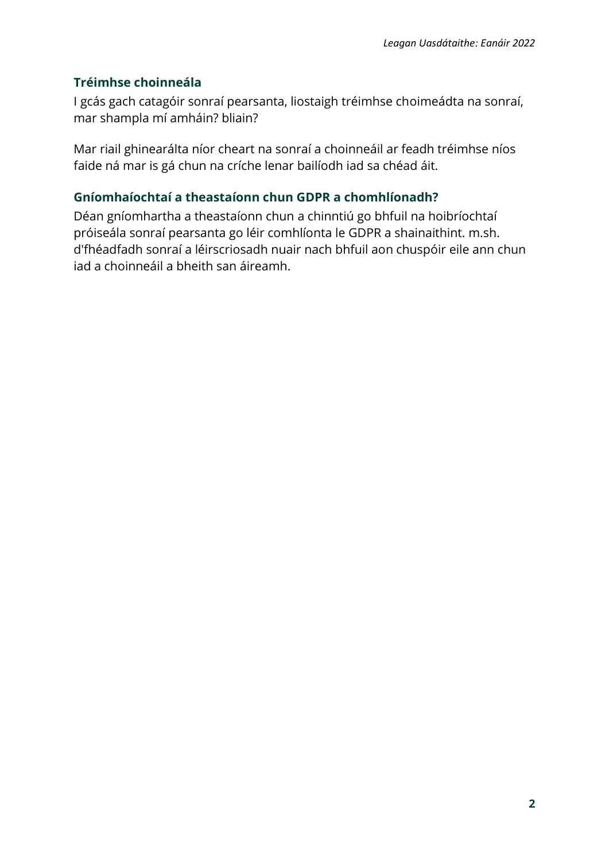#### **Tréimhse choinneála**

I gcás gach catagóir sonraí pearsanta, liostaigh tréimhse choimeádta na sonraí, mar shampla mí amháin? bliain?

Mar riail ghinearálta níor cheart na sonraí a choinneáil ar feadh tréimhse níos faide ná mar is gá chun na críche lenar bailíodh iad sa chéad áit.

#### **Gníomhaíochtaí a theastaíonn chun GDPR a chomhlíonadh?**

Déan gníomhartha a theastaíonn chun a chinntiú go bhfuil na hoibríochtaí próiseála sonraí pearsanta go léir comhlíonta le GDPR a shainaithint. m.sh. d'fhéadfadh sonraí a léirscriosadh nuair nach bhfuil aon chuspóir eile ann chun iad a choinneáil a bheith san áireamh.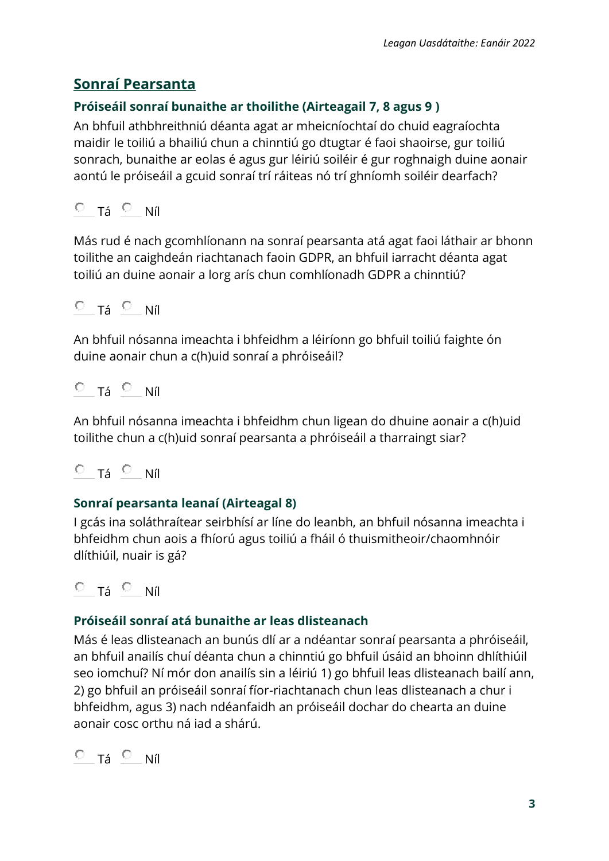# **Sonraí Pearsanta**

## **Próiseáil sonraí bunaithe ar thoilithe (Airteagail 7, 8 agus 9 )**

An bhfuil athbhreithniú déanta agat ar mheicníochtaí do chuid eagraíochta maidir le toiliú a bhailiú chun a chinntiú go dtugtar é faoi shaoirse, gur toiliú sonrach, bunaithe ar eolas é agus gur léiriú soiléir é gur roghnaigh duine aonair aontú le próiseáil a gcuid sonraí trí ráiteas nó trí ghníomh soiléir dearfach?

 $O$  Tá  $O$  Níl

Más rud é nach gcomhlíonann na sonraí pearsanta atá agat faoi láthair ar bhonn toilithe an caighdeán riachtanach faoin GDPR, an bhfuil iarracht déanta agat toiliú an duine aonair a lorg arís chun comhlíonadh GDPR a chinntiú?

$$
\circ \quad \tau_{\acute{a}} \circ \quad \text{Níl}
$$

An bhfuil nósanna imeachta i bhfeidhm a léiríonn go bhfuil toiliú faighte ón duine aonair chun a c(h)uid sonraí a phróiseáil?

$$
\circ \quad \tau_{\acute{a}} \circ \quad \text{Níl}
$$

An bhfuil nósanna imeachta i bhfeidhm chun ligean do dhuine aonair a c(h)uid toilithe chun a c(h)uid sonraí pearsanta a phróiseáil a tharraingt siar?

$$
\circ \text{ a } \circ \text{ ni}
$$

## **Sonraí pearsanta leanaí (Airteagal 8)**

I gcás ina soláthraítear seirbhísí ar líne do leanbh, an bhfuil nósanna imeachta i bhfeidhm chun aois a fhíorú agus toiliú a fháil ó thuismitheoir/chaomhnóir dlíthiúil, nuair is gá?

$$
\circ \ \ _{T\acute{a}} \ \circ \ \ _{N\acute{t}}
$$

## **Próiseáil sonraí atá bunaithe ar leas dlisteanach**

Más é leas dlisteanach an bunús dlí ar a ndéantar sonraí pearsanta a phróiseáil, an bhfuil anailís chuí déanta chun a chinntiú go bhfuil úsáid an bhoinn dhlíthiúil seo iomchuí? Ní mór don anailís sin a léiriú 1) go bhfuil leas dlisteanach bailí ann, 2) go bhfuil an próiseáil sonraí fíor-riachtanach chun leas dlisteanach a chur i bhfeidhm, agus 3) nach ndéanfaidh an próiseáil dochar do chearta an duine aonair cosc orthu ná iad a shárú.

```
O Tá O Níl
```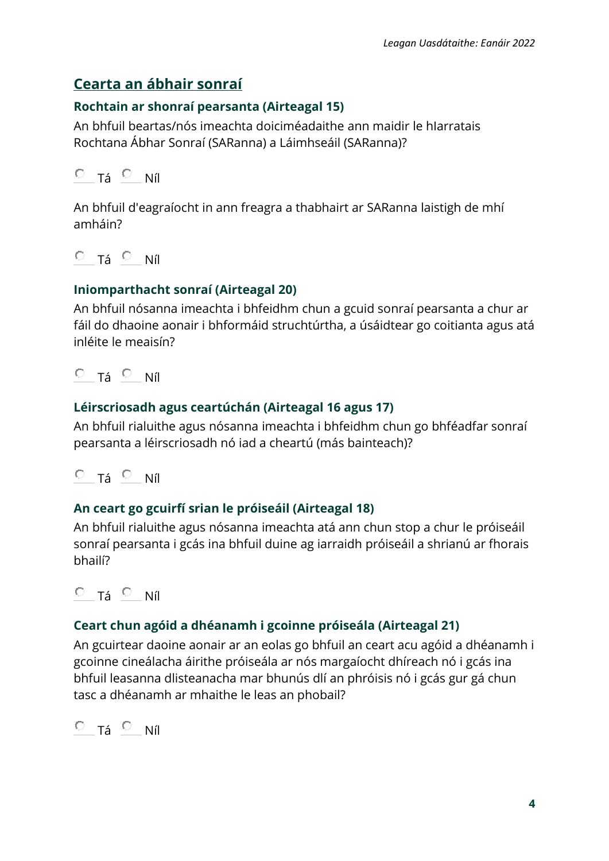# **Cearta an ábhair sonraí**

#### **Rochtain ar shonraí pearsanta (Airteagal 15)**

An bhfuil beartas/nós imeachta doiciméadaithe ann maidir le hIarratais Rochtana Ábhar Sonraí (SARanna) a Láimhseáil (SARanna)?

 $O$  Tá  $O$  Níl

An bhfuil d'eagraíocht in ann freagra a thabhairt ar SARanna laistigh de mhí amháin?

 $O$  Tá  $O$  Níl

### **Iniomparthacht sonraí (Airteagal 20)**

An bhfuil nósanna imeachta i bhfeidhm chun a gcuid sonraí pearsanta a chur ar fáil do dhaoine aonair i bhformáid struchtúrtha, a úsáidtear go coitianta agus atá inléite le meaisín?

 $O$  Tá  $O$  Níl

### **Léirscriosadh agus ceartúchán (Airteagal 16 agus 17)**

An bhfuil rialuithe agus nósanna imeachta i bhfeidhm chun go bhféadfar sonraí pearsanta a léirscriosadh nó iad a cheartú (más bainteach)?

 $O$  Tá  $O$  Níl

#### **An ceart go gcuirfí srian le próiseáil (Airteagal 18)**

An bhfuil rialuithe agus nósanna imeachta atá ann chun stop a chur le próiseáil sonraí pearsanta i gcás ina bhfuil duine ag iarraidh próiseáil a shrianú ar fhorais bhailí?

 $O$  Tá  $O$  Níl

## **Ceart chun agóid a dhéanamh i gcoinne próiseála (Airteagal 21)**

An gcuirtear daoine aonair ar an eolas go bhfuil an ceart acu agóid a dhéanamh i gcoinne cineálacha áirithe próiseála ar nós margaíocht dhíreach nó i gcás ina bhfuil leasanna dlisteanacha mar bhunús dlí an phróisis nó i gcás gur gá chun tasc a dhéanamh ar mhaithe le leas an phobail?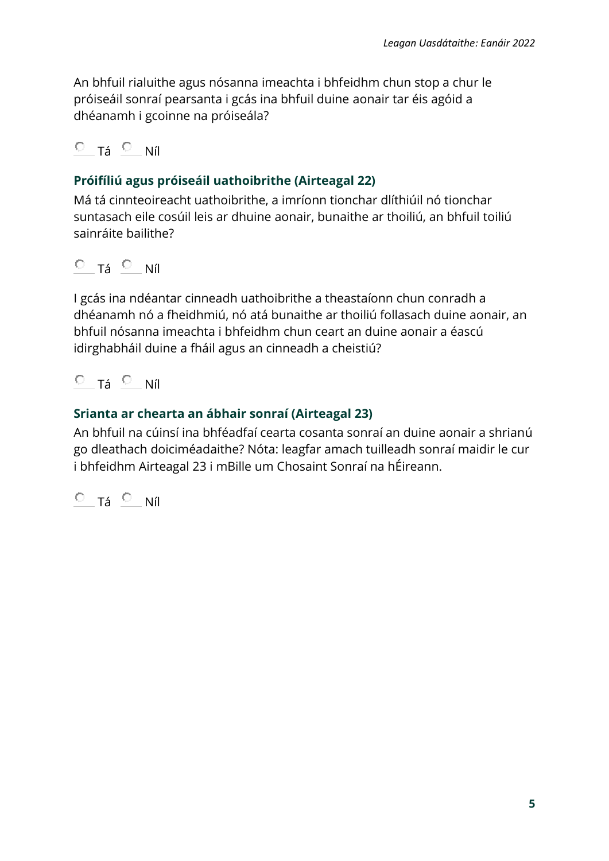An bhfuil rialuithe agus nósanna imeachta i bhfeidhm chun stop a chur le próiseáil sonraí pearsanta i gcás ina bhfuil duine aonair tar éis agóid a dhéanamh i gcoinne na próiseála?

## $O$  T<sub>á</sub>  $O$  Níl

## **Próifíliú agus próiseáil uathoibrithe (Airteagal 22)**

Má tá cinnteoireacht uathoibrithe, a imríonn tionchar dlíthiúil nó tionchar suntasach eile cosúil leis ar dhuine aonair, bunaithe ar thoiliú, an bhfuil toiliú sainráite bailithe?

 $O$  Tá  $O$  Níl

I gcás ina ndéantar cinneadh uathoibrithe a theastaíonn chun conradh a dhéanamh nó a fheidhmiú, nó atá bunaithe ar thoiliú follasach duine aonair, an bhfuil nósanna imeachta i bhfeidhm chun ceart an duine aonair a éascú idirghabháil duine a fháil agus an cinneadh a cheistiú?

 $O$  Tá  $O$  Níl

### **Srianta ar chearta an ábhair sonraí (Airteagal 23)**

An bhfuil na cúinsí ina bhféadfaí cearta cosanta sonraí an duine aonair a shrianú go dleathach doiciméadaithe? Nóta: leagfar amach tuilleadh sonraí maidir le cur i bhfeidhm Airteagal 23 i mBille um Chosaint Sonraí na hÉireann.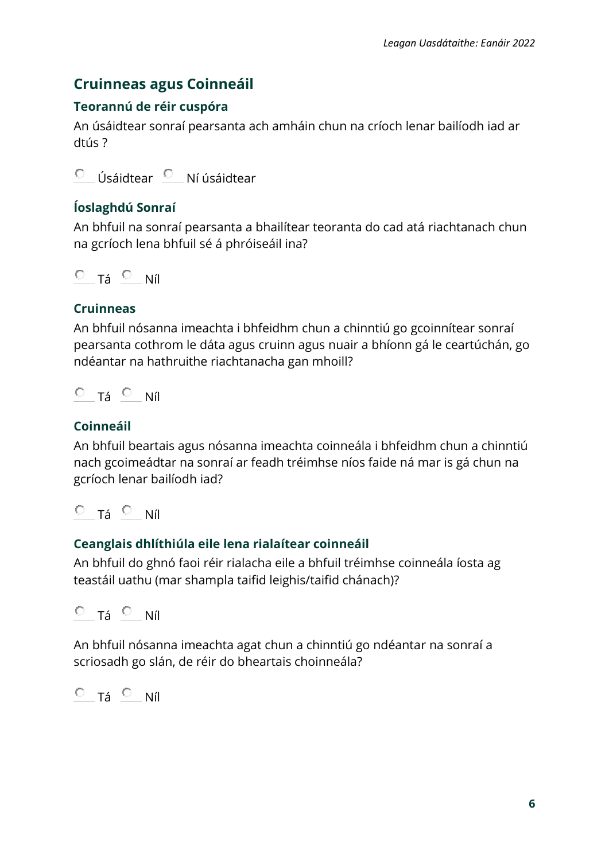# **Cruinneas agus Coinneáil**

## **Teorannú de réir cuspóra**

An úsáidtear sonraí pearsanta ach amháin chun na críoch lenar bailíodh iad ar dtús ?

Úsáidtear <sup>O</sup> Ní úsáidtear  $\circ$ 

## **Íoslaghdú Sonraí**

An bhfuil na sonraí pearsanta a bhailítear teoranta do cad atá riachtanach chun na gcríoch lena bhfuil sé á phróiseáil ina?

 $O$  Tá  $O$  Níl

### **Cruinneas**

An bhfuil nósanna imeachta i bhfeidhm chun a chinntiú go gcoinnítear sonraí pearsanta cothrom le dáta agus cruinn agus nuair a bhíonn gá le ceartúchán, go ndéantar na hathruithe riachtanacha gan mhoill?

$$
\circ \text{ Tá } \circ \text{ Níl}
$$

## **Coinneáil**

An bhfuil beartais agus nósanna imeachta coinneála i bhfeidhm chun a chinntiú nach gcoimeádtar na sonraí ar feadh tréimhse níos faide ná mar is gá chun na gcríoch lenar bailíodh iad?

 $O$  Tá  $O$  Níl

## **Ceanglais dhlíthiúla eile lena rialaítear coinneáil**

An bhfuil do ghnó faoi réir rialacha eile a bhfuil tréimhse coinneála íosta ag teastáil uathu (mar shampla taifid leighis/taifid chánach)?

 $O$  Tá  $O$  Níl

An bhfuil nósanna imeachta agat chun a chinntiú go ndéantar na sonraí a scriosadh go slán, de réir do bheartais choinneála?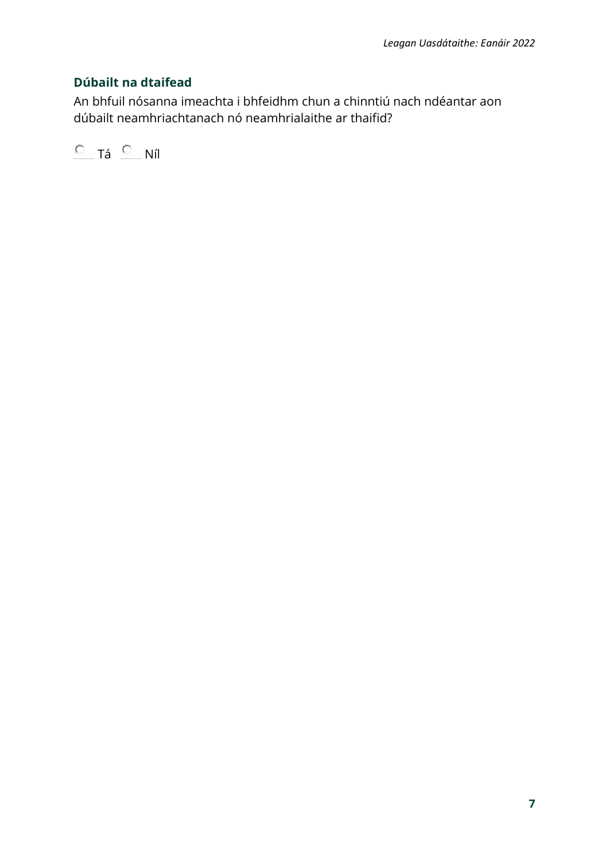### **Dúbailt na dtaifead**

An bhfuil nósanna imeachta i bhfeidhm chun a chinntiú nach ndéantar aon dúbailt neamhriachtanach nó neamhrialaithe ar thaifid?

 $C$  Tá  $C$  Níl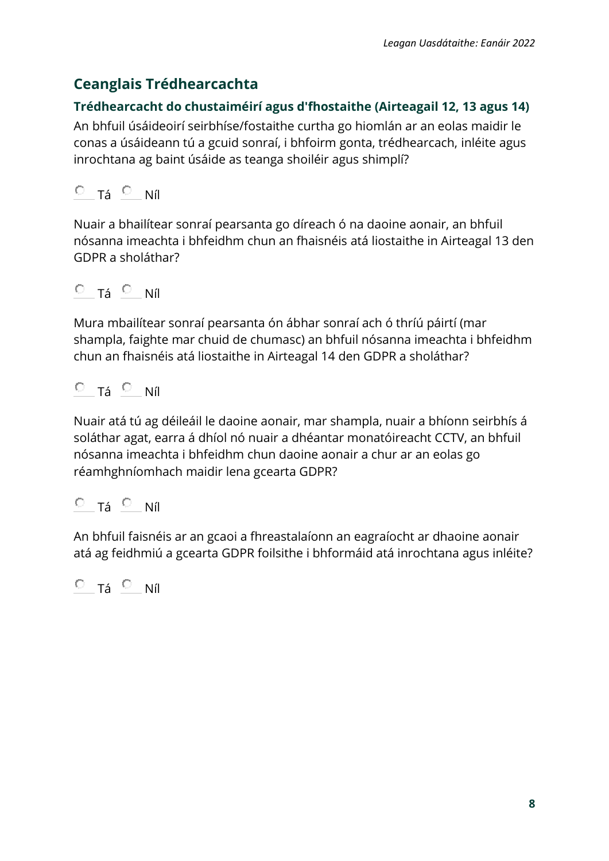# **Ceanglais Trédhearcachta**

### **Trédhearcacht do chustaiméirí agus d'fhostaithe (Airteagail 12, 13 agus 14)**

An bhfuil úsáideoirí seirbhíse/fostaithe curtha go hiomlán ar an eolas maidir le conas a úsáideann tú a gcuid sonraí, i bhfoirm gonta, trédhearcach, inléite agus inrochtana ag baint úsáide as teanga shoiléir agus shimplí?

 $O$  Tá  $O$  Níl

Nuair a bhailítear sonraí pearsanta go díreach ó na daoine aonair, an bhfuil nósanna imeachta i bhfeidhm chun an fhaisnéis atá liostaithe in Airteagal 13 den GDPR a sholáthar?

$$
\begin{array}{ccc}\n\circ & \tau_{\acute{a}} & \circ & \text{Níl}\n\end{array}
$$

Mura mbailítear sonraí pearsanta ón ábhar sonraí ach ó thríú páirtí (mar shampla, faighte mar chuid de chumasc) an bhfuil nósanna imeachta i bhfeidhm chun an fhaisnéis atá liostaithe in Airteagal 14 den GDPR a sholáthar?

$$
\circ \quad \tau_{\acute{a}} \ \circ \quad \text{Níl}
$$

Nuair atá tú ag déileáil le daoine aonair, mar shampla, nuair a bhíonn seirbhís á soláthar agat, earra á dhíol nó nuair a dhéantar monatóireacht CCTV, an bhfuil nósanna imeachta i bhfeidhm chun daoine aonair a chur ar an eolas go réamhghníomhach maidir lena gcearta GDPR?

## $O$  Tá  $O$  Níl

An bhfuil faisnéis ar an gcaoi a fhreastalaíonn an eagraíocht ar dhaoine aonair atá ag feidhmiú a gcearta GDPR foilsithe i bhformáid atá inrochtana agus inléite?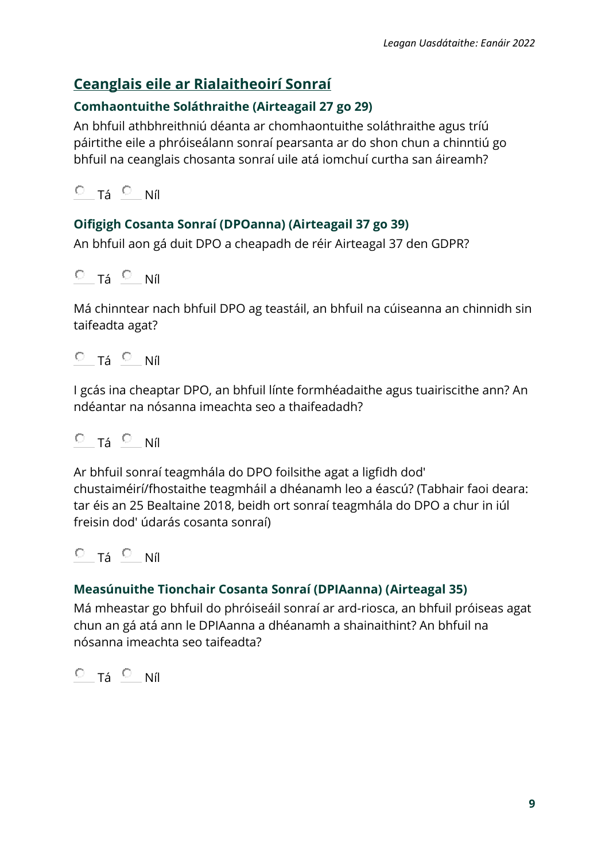# **Ceanglais eile ar Rialaitheoirí Sonraí**

### **Comhaontuithe Soláthraithe (Airteagail 27 go 29)**

An bhfuil athbhreithniú déanta ar chomhaontuithe soláthraithe agus tríú páirtithe eile a phróiseálann sonraí pearsanta ar do shon chun a chinntiú go bhfuil na ceanglais chosanta sonraí uile atá iomchuí curtha san áireamh?

 $O$  Tá  $O$  Níl

### **Oifigigh Cosanta Sonraí (DPOanna) (Airteagail 37 go 39)**

An bhfuil aon gá duit DPO a cheapadh de réir Airteagal 37 den GDPR?

 $O$  Tá  $O$  Níl

Má chinntear nach bhfuil DPO ag teastáil, an bhfuil na cúiseanna an chinnidh sin taifeadta agat?

 $O$  Tá  $O$  Níl

I gcás ina cheaptar DPO, an bhfuil línte formhéadaithe agus tuairiscithe ann? An ndéantar na nósanna imeachta seo a thaifeadadh?

$$
\circ \quad \tau_{\acute{a}} \circ \quad \text{Níl}
$$

Ar bhfuil sonraí teagmhála do DPO foilsithe agat a ligfidh dod' chustaiméirí/fhostaithe teagmháil a dhéanamh leo a éascú? (Tabhair faoi deara: tar éis an 25 Bealtaine 2018, beidh ort sonraí teagmhála do DPO a chur in iúl freisin dod' údarás cosanta sonraí)

$$
\circ \text{ a } \circ \text{ ni}
$$

#### **Measúnuithe Tionchair Cosanta Sonraí (DPIAanna) (Airteagal 35)**

Má mheastar go bhfuil do phróiseáil sonraí ar ard-riosca, an bhfuil próiseas agat chun an gá atá ann le DPIAanna a dhéanamh a shainaithint? An bhfuil na nósanna imeachta seo taifeadta?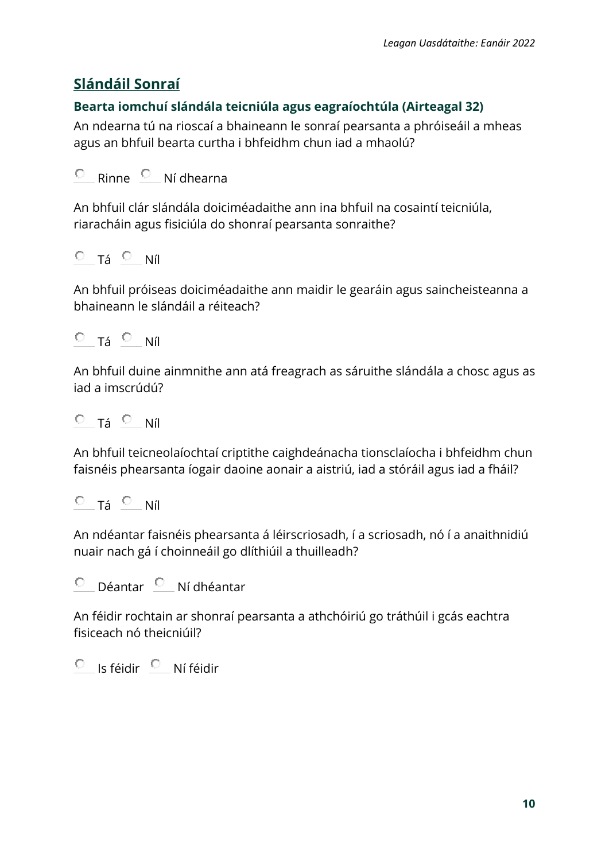# **Slándáil Sonraí**

### **Bearta iomchuí slándála teicniúla agus eagraíochtúla (Airteagal 32)**

An ndearna tú na rioscaí a bhaineann le sonraí pearsanta a phróiseáil a mheas agus an bhfuil bearta curtha i bhfeidhm chun iad a mhaolú?

```
О
Rinne Ní dhearna
```
An bhfuil clár slándála doiciméadaithe ann ina bhfuil na cosaintí teicniúla, riaracháin agus fisiciúla do shonraí pearsanta sonraithe?

$$
\circ \quad \text{ Tá } \circ \quad \text{Níl}
$$

An bhfuil próiseas doiciméadaithe ann maidir le gearáin agus saincheisteanna a bhaineann le slándáil a réiteach?

$$
\circ \quad \tau_{\acute{a}} \circ \quad \text{Níl}
$$

An bhfuil duine ainmnithe ann atá freagrach as sáruithe slándála a chosc agus as iad a imscrúdú?

 $O$  Tá  $O$  Níl

An bhfuil teicneolaíochtaí criptithe caighdeánacha tionsclaíocha i bhfeidhm chun faisnéis phearsanta íogair daoine aonair a aistriú, iad a stóráil agus iad a fháil?

$$
\circ \text{ Tá } \circ \text{ Níl}
$$

An ndéantar faisnéis phearsanta á léirscriosadh, í a scriosadh, nó í a anaithnidiú nuair nach gá í choinneáil go dlíthiúil a thuilleadh?

Déantar <sup>O</sup> Ní dhéantar О

An féidir rochtain ar shonraí pearsanta a athchóiriú go tráthúil i gcás eachtra fisiceach nó theicniúil?

 $O$  Is féidir  $O$  Ní féidir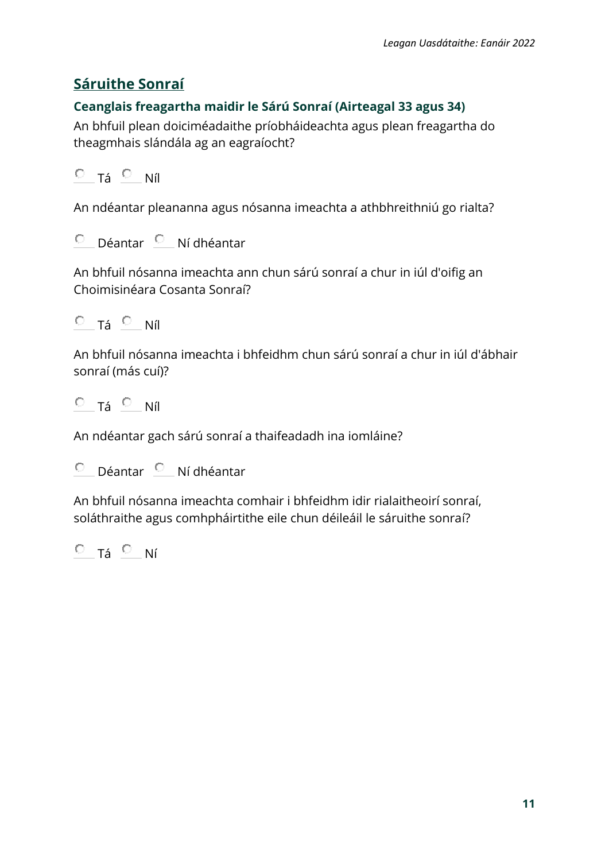# **Sáruithe Sonraí**

### **Ceanglais freagartha maidir le Sárú Sonraí (Airteagal 33 agus 34)**

An bhfuil plean doiciméadaithe príobháideachta agus plean freagartha do theagmhais slándála ag an eagraíocht?

 $O$  Tá  $O$  Níl

An ndéantar pleananna agus nósanna imeachta a athbhreithniú go rialta?

 $O$  Déantar  $O$  Ní dhéantar

An bhfuil nósanna imeachta ann chun sárú sonraí a chur in iúl d'oifig an Choimisinéara Cosanta Sonraí?

 $O$  Tá  $O$  Níl

An bhfuil nósanna imeachta i bhfeidhm chun sárú sonraí a chur in iúl d'ábhair sonraí (más cuí)?

 $O$  Tá  $O$  Níl

An ndéantar gach sárú sonraí a thaifeadadh ina iomláine?

Déantar <sup>O</sup> Ní dhéantar О

An bhfuil nósanna imeachta comhair i bhfeidhm idir rialaitheoirí sonraí, soláthraithe agus comhpháirtithe eile chun déileáil le sáruithe sonraí?